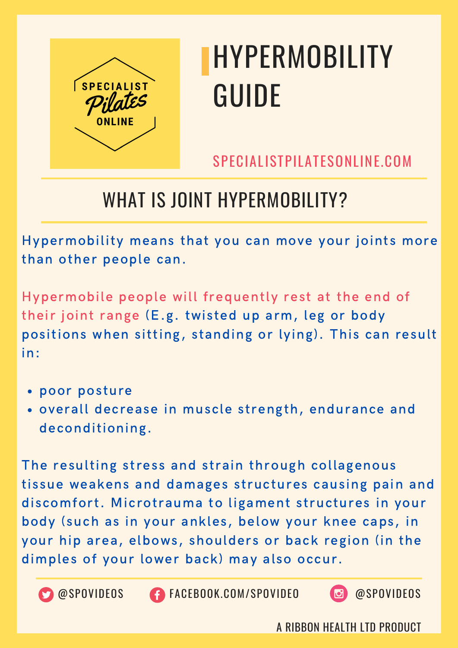

SPECIALISTPILATESONLINE.COM

## WHAT IS JOINT HYPERMOBILITY?

Hypermobility means that you can move your joints more than other people can.

Hypermobile people will frequently rest at the end of their joint range (E.g. twisted up arm, leg or body positions when sitting, standing or lying). This can result in:

- poor posture
- overall decrease in muscle strength, endurance and deconditioning.

The resulting stress and strain through collagenous tissue weakens and damages structures causing pain and discomfort. Microtrauma to ligament structures in your body (such as in your ankles, below your knee caps, in your hip area, elbows, shoulders or back region (in the dimples of your lower back) may also occur.



@SPOVIDEOS FACEBOOK.COM/SPOVIDEO @SPOVIDEOS

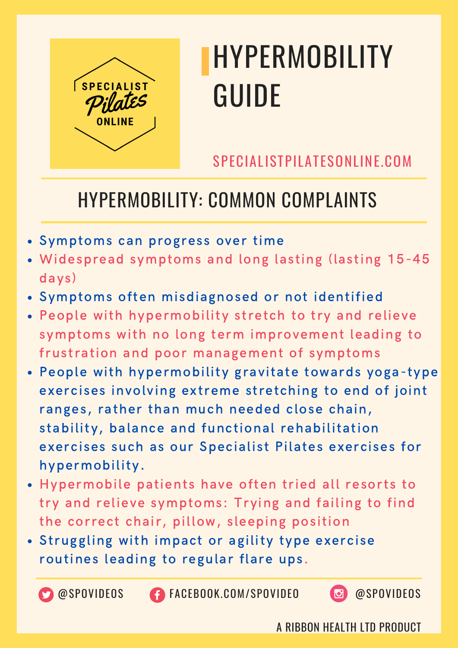

SPECIALISTPILATESONLINE.COM

### HYPERMOBILITY: COMMON COMPLAINTS

- Symptoms can progress over time
- Widespread symptoms and long lasting (lasting 15-45 days)
- Symptoms often misdiagnosed or not identified
- People with hypermobility stretch to try and relieve symptoms with no long term improvement leading to frustration and poor management of symptoms
- People with hypermobility gravitate towards yoga-type exercises involving extreme stretching to end of joint ranges, rather than much needed close chain, stability, balance and functional rehabilitation exercises such as our Specialist Pilates exercises for hypermobility.
- Hypermobile patients have often tried all resorts to try and relieve symptoms: Trying and failing to find the correct chair, pillow, sleeping position
- Struggling with impact or agility type exercise routines leading to regular flare ups.

@SPOVIDEOS FACEBOOK.COM/SPOVIDEO @SPOVIDEOS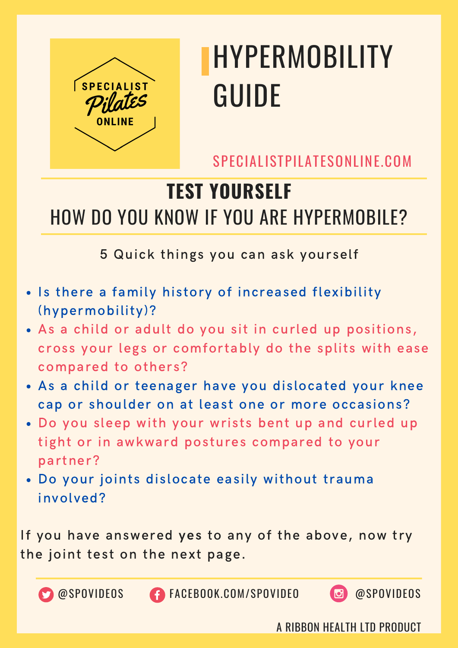

SPECIALISTPILATESONLINE.COM

## **TEST YOURSELF** HOW DO YOU KNOW IF YOU ARE HYPERMOBILE?

5 Quick things you can ask yourself

- . Is there a family history of increased flexibility (hypermobility)?
- As a child or adult do you sit in curled up positions, cross your legs or comfortably do the splits with ease compared to others?
- As a child or teenager have you dislocated your knee cap or shoulder on at least one or more occasions?
- Do you sleep with your wrists bent up and curled up tight or in awkward postures compared to your partner?
- Do your joints dislocate easily without trauma involved?

If you have answered yes to any of the above, now try the joint test on the next page.



@SPOVIDEOS FACEBOOK.COM/SPOVIDEO @SPOVIDEOS

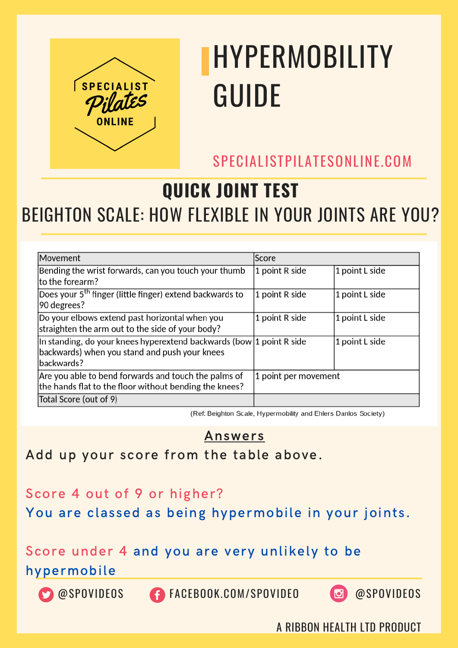

SPECIALISTPILATESONLINE.COM

#### **QUICK JOINT TEST** BEIGHTON SCALE: HOW FLEXIBLE IN YOUR JOINTS ARE YOU?

| Movement                                                                                                                                   | Score                |                |
|--------------------------------------------------------------------------------------------------------------------------------------------|----------------------|----------------|
| Bending the wrist forwards, can you touch your thumb<br>to the forearm?                                                                    | 1 point R side       | 1 point L side |
| Does your 5 <sup>th</sup> finger (little finger) extend backwards to<br>90 degrees?                                                        | 1 point R side       | 1 point L side |
| Do your elbows extend past horizontal when you<br>straighten the arm out to the side of your body?                                         | 1 point R side       | 1 point L side |
| In standing, do your knees hyperextend backwards (bow $ 1$ point R side $ $<br>backwards) when you stand and push your knees<br>backwards? |                      | 1 point L side |
| Are you able to bend forwards and touch the palms of<br>the hands flat to the floor without bending the knees?                             | 1 point per movement |                |
| Total Score (out of 9)                                                                                                                     |                      |                |

(Ref: Beighton Scale, Hypermobility and Ehlers Danlos Society)

#### Answers

#### Add up your score from the table above.

#### Score 4 out of 9 or higher?

You are classed as being hypermobile in your joints.

#### Score under 4 and you are very unlikely to be

#### hypermobile

@SPOVIDEOS FACEBOOK.COM/SPOVIDEO @SPOVIDEOS

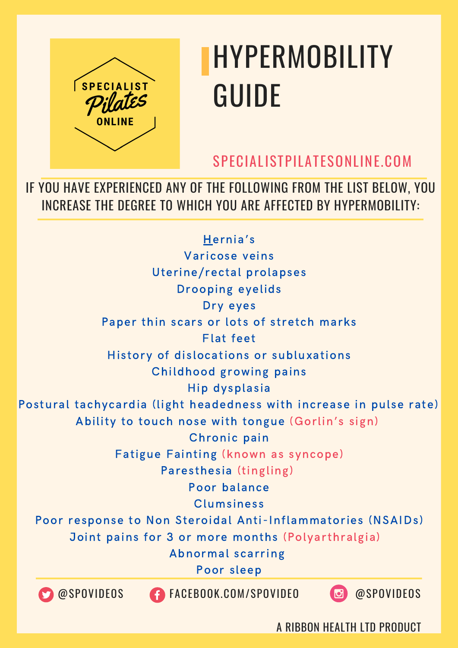

SPECIALISTPILATESONLINE.COM

A RIBBON HEALTH LTD PRODUCT

IF YOU HAVE EXPERIENCED ANY OF THE FOLLOWING FROM THE LIST BELOW, YOU INCREASE THE DEGREE TO WHICH YOU ARE AFFECTED BY HYPERMOBILITY:

@SPOVIDEOS FACEBOOK.COM/SPOVIDEO @SPOVIDEOS Hernia's Varicose veins Uterine/rectal prolapses Drooping eyelids Dry eyes Paper thin scars or lots of stretch marks Flat feet History of dislocations or subluxations Childhood growing pains Hip dysplasia Postural tachycardia (light headedness with increase in pulse rate) Ability to touch nose with tongue (Gorlin's sign) Chronic pain Fatigue Fainting (known as syncope) Paresthesia (tingling) Poor balance Clumsiness Poor response to Non Steroidal Anti-Inflammatories (NSAIDs) Joint pains for 3 or more months (Polyarthralgia) Abnormal scarring Poor sleep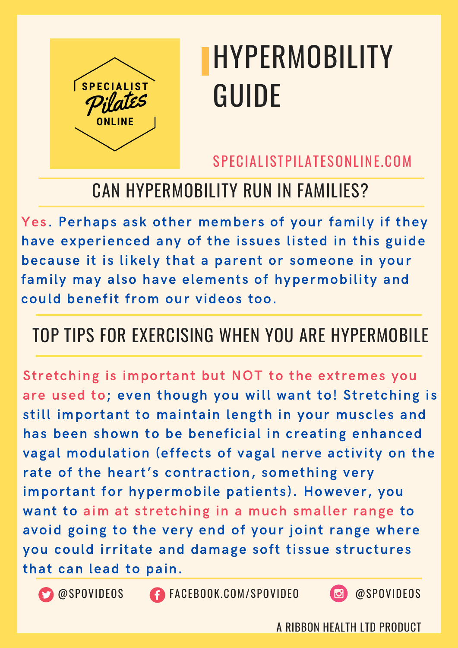

#### SPECIALISTPILATESONLINE.COM

### CAN HYPERMOBILITY RUN IN FAMILIES?

Yes. Perhaps ask other members of your family if they have experienced any of the issues listed in this guide because it is likely that a parent or someone in your family may also have elements of hypermobility and could benefit from our videos too.

#### TOP TIPS FOR EXERCISING WHEN YOU ARE HYPERMOBILE

Stretching is important but NOT to the extremes you are used to; even though you will want to! Stretching is still important to maintain length in your muscles and has been shown to be beneficial in creating enhanced vagal modulation (effects of vagal nerve activity on the rate of the heart's contraction, something very important for hypermobile patients). However, you want to aim at stretching in a much smaller range to avoid going to the very end of your joint range where you could irritate and damage soft tissue structures that can lead to pain.



**CO** @SPOVIDEOS **CONGESCITE CON/SPOVIDEO @SPOVIDEOS**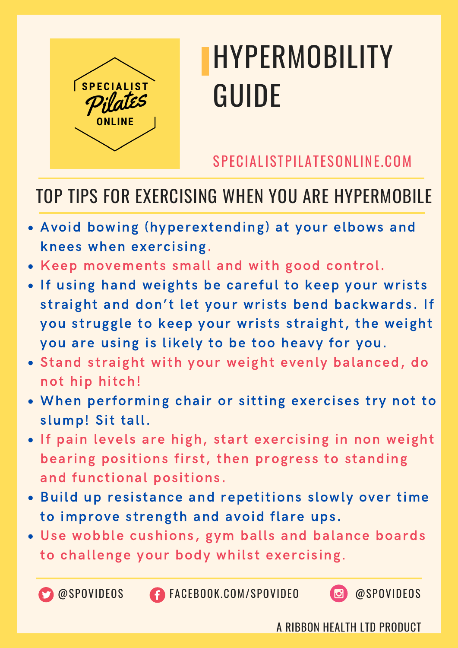

SPECIALISTPILATESONLINE.COM

#### TOP TIPS FOR EXERCISING WHEN YOU ARE HYPERMOBILE

- Avoid bowing (hyperextending) at your elbows and knees when exercising.
- Keep movements small and with good control.
- . If using hand weights be careful to keep your wrists straight and don't let your wrists bend backwards. If you struggle to keep your wrists straight, the weight you are using is likely to be too heavy for you.
- Stand straight with your weight evenly balanced, do not hip hitch!
- When performing chair or sitting exercises try not to slump! Sit tall.
- . If pain levels are high, start exercising in non weight bearing positions first, then progress to standing and functional positions.
- Build up resistance and repetitions slowly over time to improve strength and avoid flare ups.
- Use wobble cushions, gym balls and balance boards to challenge your body whilst exercising.



**CO** @SPOVIDEOS **CONGESCITE CON/SPOVIDEO @SPOVIDEOS** 

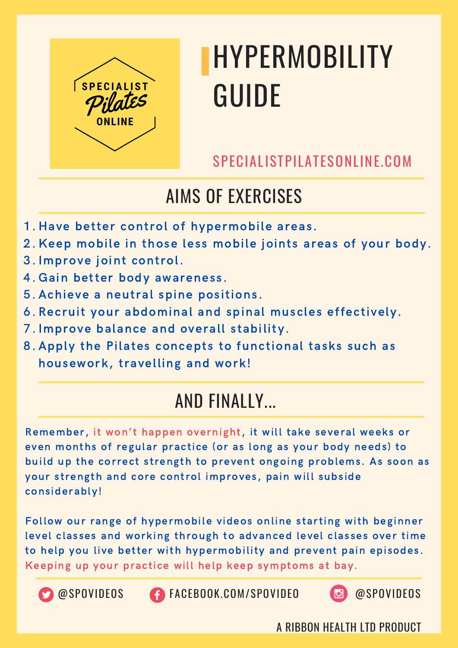

SPECIALISTPILATESONLINE.COM

### AIMS OF EXERCISES

- 1. Have better control of hypermobile areas.
- 2. Keep mobile in those less mobile joints areas of your body.
- 3. Improve joint control.
- 4. Gain better body awareness.
- 5. Achieve a neutral spine positions.
- 6. Recruit your abdominal and spinal muscles effectively.
- 7. Improve balance and overall stability.
- 8. Apply the Pilates concepts to functional tasks such as housework, travelling and work!

### AND FINALLY...

Remember, it won't happen overnight, it will take several weeks or even months of regular practice (or as long as your body needs) to build up the correct strength to prevent ongoing problems. As soon as your strength and core control improves, pain will subside considerably!

Follow our range of hypermobile videos online starting with beginner level classes and working through to advanced level classes over time to help you live better with hypermobility and prevent pain episodes. Keeping up your practice will help keep symptoms at bay.





OSPOVIDEOS CONCEBOOK.COM/SPOVIDEO @SPOVIDEOS